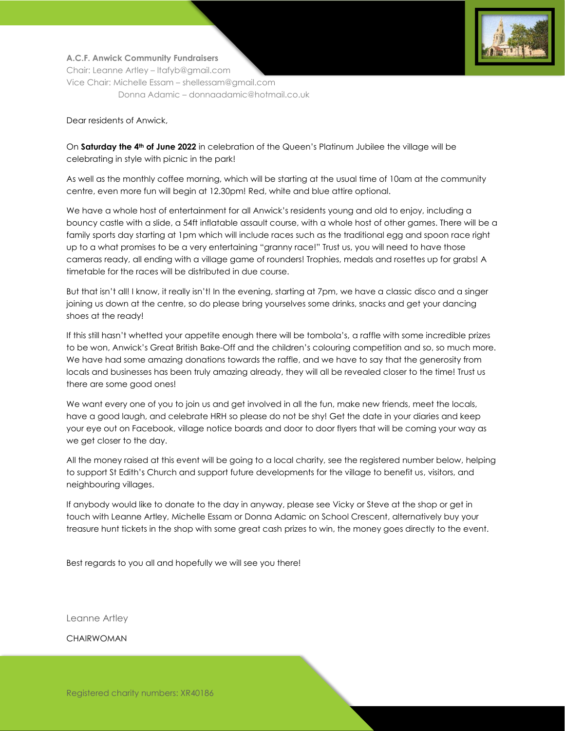

#### **A.C.F. Anwick Community Fundraisers**

Chair: Leanne Artley – [ltafyb@gmail.com](mailto:ltafyb@gmail.com) Vice Chair: Michelle Essam – [shellessam@gmail.com](mailto:shellessam@gmail.com) Donna Adamic – [donnaadamic@hotmail.co.uk](mailto:donnaadamic@hotmail.co.uk)

#### Dear residents of Anwick,

On **Saturday the 4th of June 2022** in celebration of the Queen's Platinum Jubilee the village will be celebrating in style with picnic in the park!

As well as the monthly coffee morning, which will be starting at the usual time of 10am at the community centre, even more fun will begin at 12.30pm! Red, white and blue attire optional.

We have a whole host of entertainment for all Anwick's residents young and old to enjoy, including a bouncy castle with a slide, a 54ft inflatable assault course, with a whole host of other games. There will be a family sports day starting at 1pm which will include races such as the traditional egg and spoon race right up to a what promises to be a very entertaining "granny race!" Trust us, you will need to have those cameras ready, all ending with a village game of rounders! Trophies, medals and rosettes up for grabs! A timetable for the races will be distributed in due course.

But that isn't all! I know, it really isn't! In the evening, starting at 7pm, we have a classic disco and a singer joining us down at the centre, so do please bring yourselves some drinks, snacks and get your dancing shoes at the ready!

If this still hasn't whetted your appetite enough there will be tombola's, a raffle with some incredible prizes to be won, Anwick's Great British Bake-Off and the children's colouring competition and so, so much more. We have had some amazing donations towards the raffle, and we have to say that the generosity from locals and businesses has been truly amazing already, they will all be revealed closer to the time! Trust us there are some good ones!

We want every one of you to join us and get involved in all the fun, make new friends, meet the locals, have a good laugh, and celebrate HRH so please do not be shy! Get the date in your diaries and keep your eye out on Facebook, village notice boards and door to door flyers that will be coming your way as we get closer to the day.

All the money raised at this event will be going to a local charity, see the registered number below, helping to support St Edith's Church and support future developments for the village to benefit us, visitors, and neighbouring villages.

If anybody would like to donate to the day in anyway, please see Vicky or Steve at the shop or get in touch with Leanne Artley, Michelle Essam or Donna Adamic on School Crescent, alternatively buy your treasure hunt tickets in the shop with some great cash prizes to win, the money goes directly to the event.

Best regards to you all and hopefully we will see you there!

Leanne Artley

CHAIRWOMAN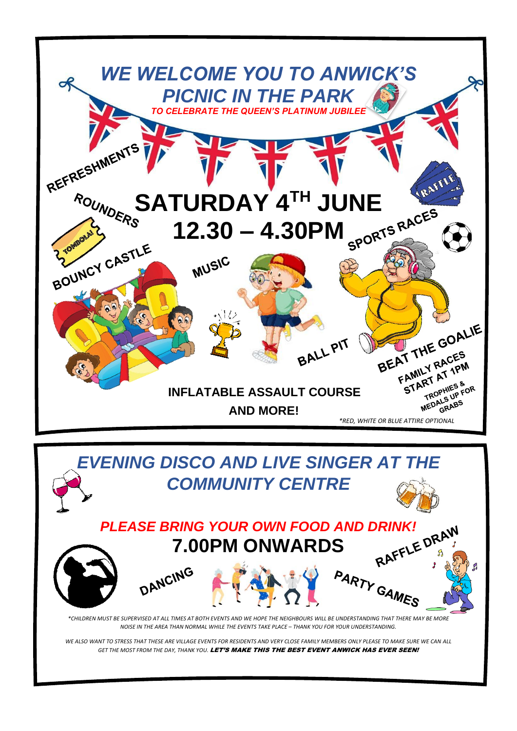



*GET THE MOST FROM THE DAY, THANK YOU.* LET'S MAKE THIS THE BEST EVENT ANWICK HAS EVER SEEN!